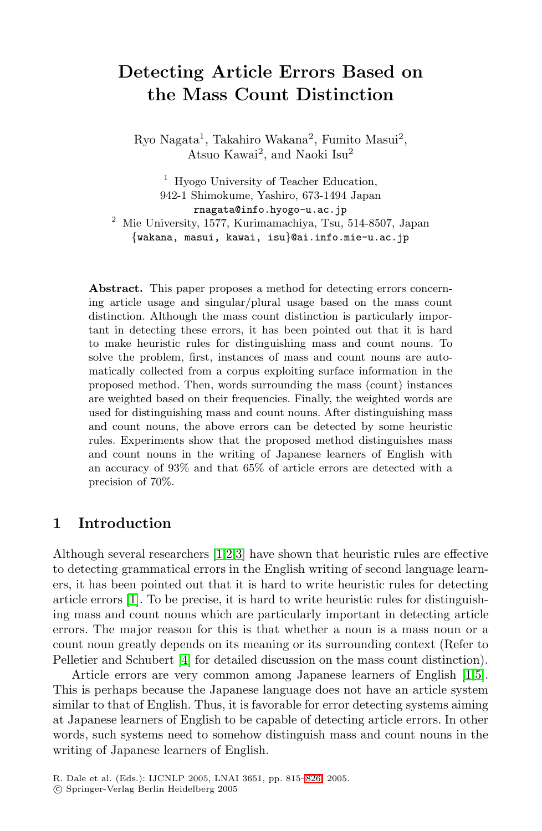# **Detecting Article Errors Based on the Mass Count Distinction**

 $R$ yo Nagata<sup>1</sup>, Takahiro Wakana<sup>2</sup>, Fumito Masui<sup>2</sup>, Atsuo Kawai<sup>2</sup>, and Naoki Isu<sup>2</sup>

<sup>1</sup> Hyogo University of Teacher Education, 942-1 Shimokume, Yashiro, 673-1494 Japan rnagata@info.hyogo-u.ac.jp <sup>2</sup> Mie University, 1577, Kurimamachiya, Tsu, 514-8507, Japan {wakana, masui, kawai, isu}@ai.info.mie-u.ac.jp

**Abstract.** This paper proposes a method for detecting errors concerning article usage and singular/plural usage based on the mass count distinction. Although the mass count distinction is particularly important in detecting these errors, it has been pointed out that it is hard to make heuristic rules for distinguishing mass and count nouns. To solve the problem, first, instances of mass and count nouns are automatically collected from a corpus exploiting surface information in the proposed method. Then, words surrounding the mass (count) instances are weighted based on their frequencies. Finally, the weighted words are used for distinguishing mass and count nouns. After distinguishing mass and count nouns, the above errors can be detected by some heuristic rules. Experiments show that the proposed method distinguishes mass and count nouns in the writing of Japanese learners of English with an accuracy of 93% and that 65% of article errors are detected with a precision of 70%.

### **1 Introduction**

Although several researchers [\[1,](#page-10-0)[2](#page-10-1)[,3\]](#page-10-2) have shown that heuristic rules are effective to detecting grammatical errors in the English writing of second language learners, it has been pointed out that it is hard to write heuristic rules for detecting article errors [\[1\]](#page-10-0). To be precise, it is hard to write heuristic rules for distinguishing mass and count nouns which are particularly important in detecting article errors. The major reason for this is that whether a noun is a mass noun or a count noun greatly depends on its meaning or its surrounding context (Refer to Pelletier and Schubert [\[4\]](#page-10-3) for detailed discussion on the mass count distinction).

Article errors are very common among Japanese learners of English [\[1,](#page-10-0)[5\]](#page-11-0). This is perhaps because the Japanese language does not have an article system similar to that of English. Thus, it is favorable for error detecting systems aiming at Japanese learners of English to be capable of detecting article errors. In other words, such systems need to somehow distinguish mass and count nouns in the writing of Japanese learners of English.

R. Dale et al. (Eds.): IJCNLP 2005, LNAI 3651, pp. 815[–826,](#page-10-4) 2005.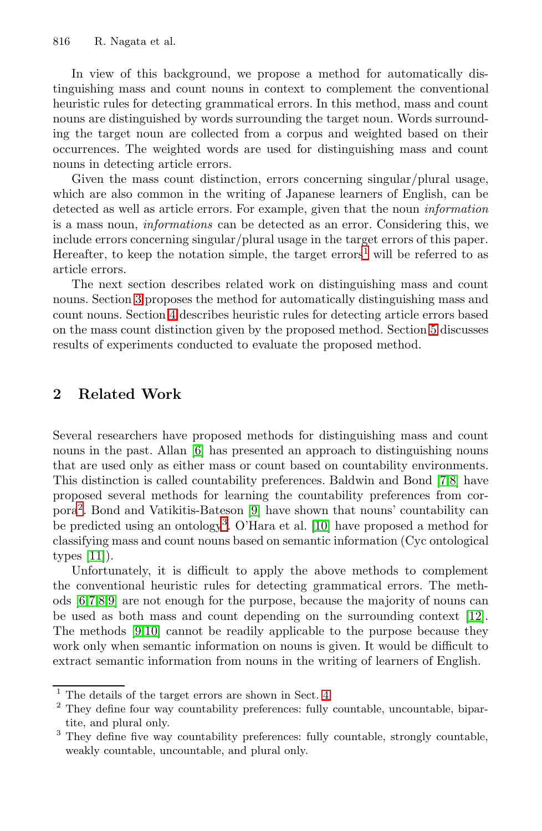In view of this background, we propose a method for automatically distinguishing mass and count nouns in context to complement the conventional heuristic rules for detecting grammatical errors. In this method, mass and count nouns are distinguished by words surrounding the target noun. Words surrounding the target noun are collected from a corpus and weighted based on their occurrences. The weighted words are used for distinguishing mass and count nouns in detecting article errors.

Given the mass count distinction, errors concerning singular/plural usage, which are also common in the writing of Japanese learners of English, can be detected as well as article errors. For example, given that the noun information is a mass noun, informations can be detected as an error. Considering this, we include errors concerning singular/plural usage in the target errors of this paper. Hereafter, to keep the notation simple, the target  $\arccos<sup>1</sup>$  $\arccos<sup>1</sup>$  $\arccos<sup>1</sup>$  will be referred to as article errors.

The next section describes related work on distinguishing mass and count nouns. Section [3](#page-2-0) proposes the method for automatically distinguishing mass and count nouns. Section [4](#page-6-0) describes heuristic rules for detecting article errors based on the mass count distinction given by the proposed method. Section [5](#page-7-0) discusses results of experiments conducted to evaluate the proposed method.

# **2 Related Work**

Several researchers have proposed methods for distinguishing mass and count nouns in the past. Allan [\[6\]](#page-11-1) has presented an approach to distinguishing nouns that are used only as either mass or count based on countability environments. This distinction is called countability preferences. Baldwin and Bond [\[7](#page-11-2)[,8\]](#page-11-3) have proposed several methods for learning the countability preferences from corpora[2](#page-1-1). Bond and Vatikitis-Bateson [\[9\]](#page-11-4) have shown that nouns' countability can be predicted using an ontology<sup>[3](#page-1-2)</sup>. O'Hara et al. [\[10\]](#page-11-5) have proposed a method for classifying mass and count nouns based on semantic information (Cyc ontological types [\[11\]](#page-11-6)).

Unfortunately, it is difficult to apply the above methods to complement the conventional heuristic rules for detecting grammatical errors. The methods [\[6,](#page-11-1)[7](#page-11-2)[,8](#page-11-3)[,9\]](#page-11-4) are not enough for the purpose, because the majority of nouns can be used as both mass and count depending on the surrounding context [\[12\]](#page-11-7). The methods [\[9](#page-11-4)[,10\]](#page-11-5) cannot be readily applicable to the purpose because they work only when semantic information on nouns is given. It would be difficult to extract semantic information from nouns in the writing of learners of English.

 $^{\rm 1}$  The details of the target errors are shown in Sect. [4.](#page-6-0)

<span id="page-1-0"></span> $^{\rm 2}$  They define four way countability preferences: fully countable, uncountable, bipartite, and plural only.

<span id="page-1-2"></span><span id="page-1-1"></span><sup>3</sup> They define five way countability preferences: fully countable, strongly countable, weakly countable, uncountable, and plural only.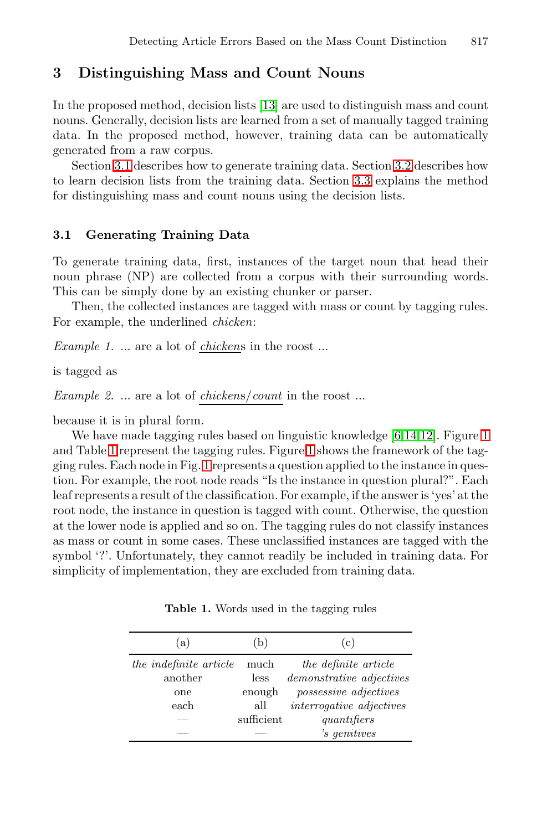## <span id="page-2-0"></span>**3 Distinguishing Mass and Count Nouns**

In the proposed method, decision lists [\[13\]](#page-11-8) are used to distinguish mass and count nouns. Generally, decision lists are learned from a set of manually tagged training data. In the proposed method, however, training data can be automatically generated from a raw corpus.

Section [3.1](#page-2-1) describes how to generate training data. Section [3.2](#page-3-0) describes how to learn decision lists from the training data. Section [3.3](#page-6-1) explains the method for distinguishing mass and count nouns using the decision lists.

#### <span id="page-2-1"></span>**3.1 Generating Training Data**

To generate training data, first, instances of the target noun that head their noun phrase (NP) are collected from a corpus with their surrounding words. This can be simply done by an existing chunker or parser.

Then, the collected instances are tagged with mass or count by tagging rules. For example, the underlined chicken:

*Example 1.*  $\dots$  are a lot of *chickens* in the roost  $\dots$ 

<span id="page-2-3"></span>is tagged as

Example 2. ... are a lot of *chickens/count* in the roost ...

because it is in plural form.

We have made tagging rules based on linguistic knowledge [\[6](#page-11-1)[,14,](#page-11-9)[12\]](#page-11-7). Figure [1](#page-3-1) and Table [1](#page-2-2) represent the tagging rules. Figure [1](#page-3-1) shows the framework of the tagging rules. Eachnode in Fig. [1](#page-3-1) representsa question applied to the instance in question. For example, the root node reads "Is the instance in question plural?". Each leaf represents a result of the classification. For example, if the answer is 'yes' at the root node, the instance in question is tagged with count. Otherwise, the question at the lower node is applied and so on. The tagging rules do not classify instances as mass or count in some cases. These unclassified instances are tagged with the symbol '?'. Unfortunately, they cannot readily be included in training data. For simplicity of implementation, they are excluded from training data.

<span id="page-2-2"></span>

| (a)                           | (b)        | (c)                             |
|-------------------------------|------------|---------------------------------|
| the <i>indefinite</i> article | much       | the definite article            |
| another                       | less       | <i>demonstrative adjectives</i> |
| one                           | enough     | possessive adjectives           |
| each                          | all        | <i>interrogative adjectives</i> |
|                               | sufficient | quantifiers                     |
|                               |            | 's genitives                    |

**Table 1.** Words used in the tagging rules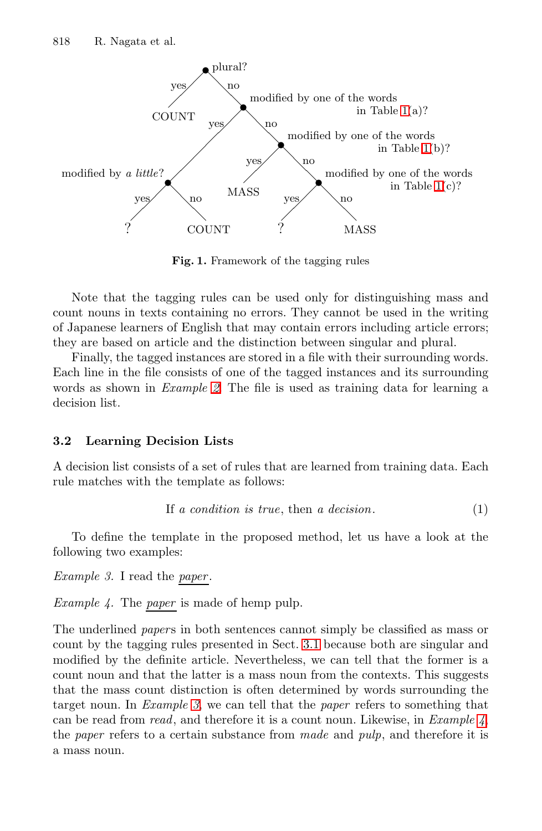

<span id="page-3-1"></span>**Fig. 1.** Framework of the tagging rules

Note that the tagging rules can be used only for distinguishing mass and count nouns in texts containing no errors. They cannot be used in the writing of Japanese learners of English that may contain errors including article errors; they are based on article and the distinction between singular and plural.

Finally, the tagged instances are stored in a file with their surrounding words. Each line in the file consists of one of the tagged instances and its surrounding words as shown in Example [2](#page-2-3). The file is used as training data for learning a decision list.

#### <span id="page-3-0"></span>**3.2 Learning Decision Lists**

A decision list consists of a set of rules that are learned from training data. Each rule matches with the template as follows:

If a condition is true, then a decision. 
$$
(1)
$$

<span id="page-3-2"></span>To define the template in the proposed method, let us have a look at the following two examples:

<span id="page-3-3"></span>Example 3. I read the paper.

Example 4. The paper is made of hemp pulp.

The underlined *papers* in both sentences cannot simply be classified as mass or count by the tagging rules presented in Sect. [3.1](#page-2-1) because both are singular and modified by the definite article. Nevertheless, we can tell that the former is a count noun and that the latter is a mass noun from the contexts. This suggests that the mass count distinction is often determined by words surrounding the target noun. In Example [3](#page-3-2), we can tell that the paper refers to something that can be read from read, and therefore it is a count noun. Likewise, in Example  $\lambda$ , the *paper* refers to a certain substance from *made* and *pulp*, and therefore it is a mass noun.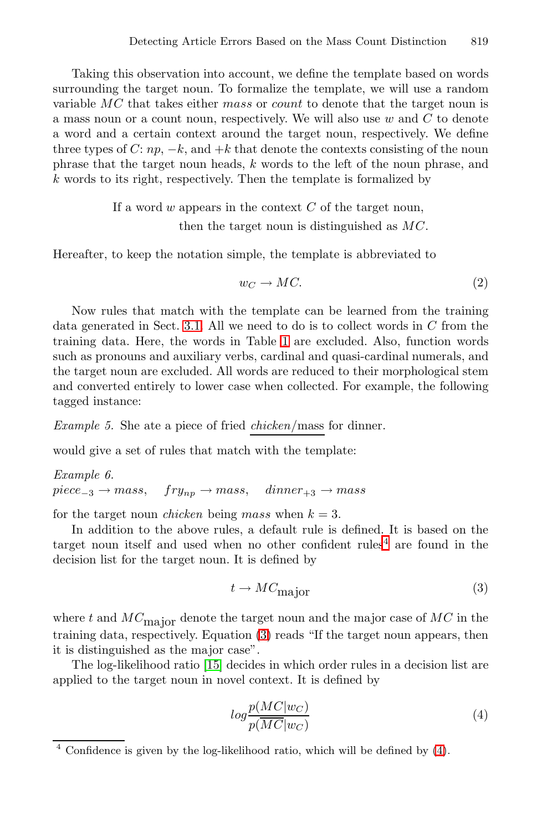Taking this observation into account, we define the template based on words surrounding the target noun. To formalize the template, we will use a random variable MC that takes either mass or count to denote that the target noun is a mass noun or a count noun, respectively. We will also use  $w$  and  $C$  to denote a word and a certain context around the target noun, respectively. We define three types of  $C: np, -k$ , and  $+k$  that denote the contexts consisting of the noun phrase that the target noun heads, k words to the left of the noun phrase, and k words to its right, respectively. Then the template is formalized by

> If a word  $w$  appears in the context  $C$  of the target noun, then the target noun is distinguished as MC.

Hereafter, to keep the notation simple, the template is abbreviated to

$$
w_C \to MC. \tag{2}
$$

Now rules that match with the template can be learned from the training data generated in Sect. [3.1.](#page-2-1) All we need to do is to collect words in C from the training data. Here, the words in Table [1](#page-2-2) are excluded. Also, function words such as pronouns and auxiliary verbs, cardinal and quasi-cardinal numerals, and the target noun are excluded. All words are reduced to their morphological stem and converted entirely to lower case when collected. For example, the following tagged instance:

Example 5. She ate a piece of fried chicken/mass for dinner.

would give a set of rules that match with the template:

Example 6.  
\n
$$
piece_{-3} \rightarrow mass, \quad fry_{np} \rightarrow mass, \quad dinner_{+3} \rightarrow mass
$$

for the target noun *chicken* being mass when  $k = 3$ .

In addition to the above rules, a default rule is defined. It is based on the target noun itself and used when no other confident rules<sup>[4](#page-4-0)</sup> are found in the decision list for the target noun. It is defined by

<span id="page-4-1"></span>
$$
t \to MC_{\text{major}} \tag{3}
$$

where t and  $MC_{\text{major}}$  denote the target noun and the major case of  $MC$  in the training data, respectively. Equation [\(3\)](#page-4-1) reads "If the target noun appears, then it is distinguished as the major case".

The log-likelihood ratio [\[15\]](#page-11-10) decides in which order rules in a decision list are applied to the target noun in novel context. It is defined by

<span id="page-4-2"></span>
$$
log\frac{p(MC|w_C)}{p(\overline{MC}|w_C)}
$$
\n<sup>(4)</sup>

<span id="page-4-0"></span> $^4$  Confidence is given by the log-likelihood ratio, which will be defined by [\(4\)](#page-4-2).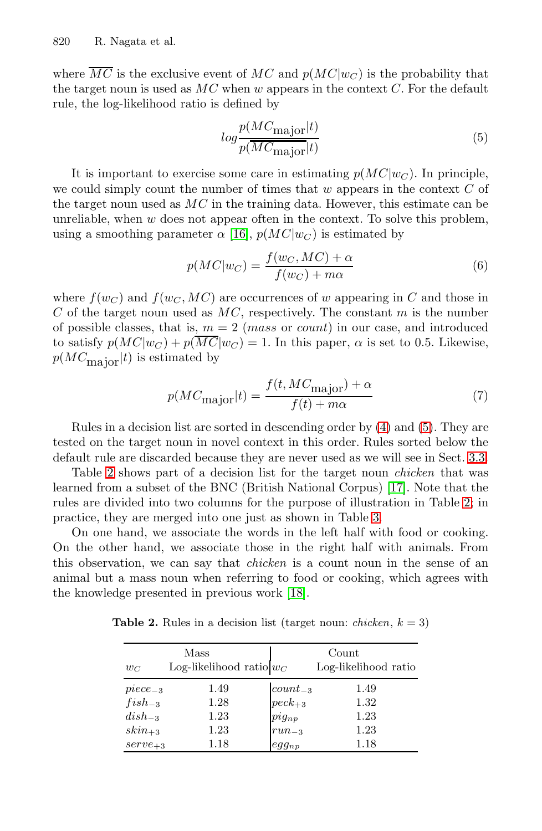where  $\overline{MC}$  is the exclusive event of MC and  $p(MC|w_C)$  is the probability that the target noun is used as  $MC$  when w appears in the context  $C$ . For the default rule, the log-likelihood ratio is defined by

$$
log \frac{p(MC_{\text{major}}|t)}{p(MC_{\text{major}}|t)} \tag{5}
$$

<span id="page-5-0"></span>It is important to exercise some care in estimating  $p(MC|w_C)$ . In principle, we could simply count the number of times that  $w$  appears in the context  $C$  of the target noun used as  $MC$  in the training data. However, this estimate can be unreliable, when  $w$  does not appear often in the context. To solve this problem, using a smoothing parameter  $\alpha$  [\[16\]](#page-11-11),  $p(MC|w_C)$  is estimated by

$$
p(MC|w_C) = \frac{f(w_C, MC) + \alpha}{f(w_C) + m\alpha} \tag{6}
$$

where  $f(w_C)$  and  $f(w_C, MC)$  are occurrences of w appearing in C and those in C of the target noun used as  $MC$ , respectively. The constant m is the number of possible classes, that is,  $m = 2$  (mass or count) in our case, and introduced to satisfy  $p(MC|w_C) + p(\overline{MC}|w_C) = 1$ . In this paper,  $\alpha$  is set to 0.5. Likewise,  $p(MC_{\text{major}}|t)$  is estimated by

$$
p(MC_{\text{major}}|t) = \frac{f(t, MC_{\text{major}}) + \alpha}{f(t) + m\alpha} \tag{7}
$$

Rules in a decision list are sorted in descending order by [\(4\)](#page-4-2) and [\(5\)](#page-5-0). They are tested on the target noun in novel context in this order. Rules sorted below the default rule are discarded because they are never used as we will see in Sect. [3.3.](#page-6-1)

Table [2](#page-5-1) shows part of a decision list for the target noun chicken that was learned from a subset of the BNC (British National Corpus) [\[17\]](#page-11-12). Note that the rules are divided into two columns for the purpose of illustration in Table [2;](#page-5-1) in practice, they are merged into one just as shown in Table [3.](#page-6-2)

On one hand, we associate the words in the left half with food or cooking. On the other hand, we associate those in the right half with animals. From this observation, we can say that chicken is a count noun in the sense of an animal but a mass noun when referring to food or cooking, which agrees with the knowledge presented in previous work [\[18\]](#page-11-13).

<span id="page-5-1"></span>**Table 2.** Rules in a decision list (target noun: *chicken*,  $k = 3$ )

| Mass<br>Log-likelihood ratio $w_C$<br>$w_C$ |      | Count<br>Log-likelihood ratio                                 |      |  |
|---------------------------------------------|------|---------------------------------------------------------------|------|--|
| $piece_{-3}$                                | 1.49 | $\begin{array}{l} count_{-3}\ peck_{+3}\pi g_{np}\end{array}$ | 1.49 |  |
| $fish_{-3}$                                 | 1.28 |                                                               | 1.32 |  |
| $dish_{-3}$                                 | 1.23 |                                                               | 1.23 |  |
| $skin_{+3}$                                 | 1.23 | $run_{-3}$                                                    | 1.23 |  |
| $serve_{+3}$                                | 1.18 | $egg_{np}$                                                    | 1.18 |  |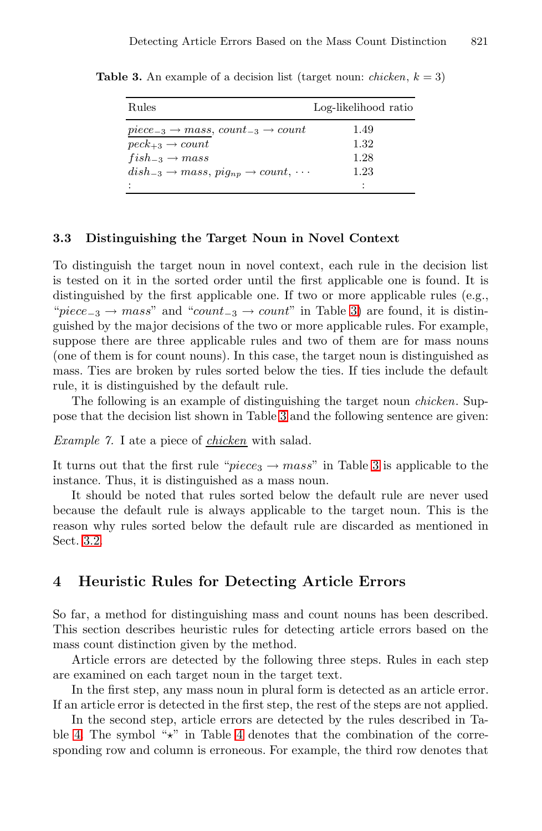| Rules                                                                  | Log-likelihood ratio |
|------------------------------------------------------------------------|----------------------|
| $piece_{-3} \rightarrow mass, count_{-3} \rightarrow count$            | 1.49                 |
| $peck_{+3} \rightarrow count$                                          | 1.32                 |
| $fish_{-3} \rightarrow mass$                                           | 1.28                 |
| $dish_{-3} \rightarrow mass, \, piq_{np} \rightarrow count, \, \cdots$ | 1.23                 |
|                                                                        | ٠                    |

<span id="page-6-2"></span>**Table 3.** An example of a decision list (target noun: *chicken*,  $k = 3$ )

#### <span id="page-6-1"></span>**3.3 Distinguishing the Target Noun in Novel Context**

To distinguish the target noun in novel context, each rule in the decision list is tested on it in the sorted order until the first applicable one is found. It is distinguished by the first applicable one. If two or more applicable rules (e.g., "piece<sub>-3</sub> → mass" and "count<sub>-3</sub> → count" in Table [3\)](#page-6-2) are found, it is distinguished by the major decisions of the two or more applicable rules. For example, suppose there are three applicable rules and two of them are for mass nouns (one of them is for count nouns). In this case, the target noun is distinguished as mass. Ties are broken by rules sorted below the ties. If ties include the default rule, it is distinguished by the default rule.

The following is an example of distinguishing the target noun chicken. Suppose that the decision list shown in Table [3](#page-6-2) and the following sentence are given:

Example 7. I ate a piece of *chicken* with salad.

It turns out that the first rule " $piece_3 \rightarrow mass$ " in Table [3](#page-6-2) is applicable to the instance. Thus, it is distinguished as a mass noun.

It should be noted that rules sorted below the default rule are never used because the default rule is always applicable to the target noun. This is the reason why rules sorted below the default rule are discarded as mentioned in Sect. [3.2.](#page-3-0)

## <span id="page-6-0"></span>**4 Heuristic Rules for Detecting Article Errors**

So far, a method for distinguishing mass and count nouns has been described. This section describes heuristic rules for detecting article errors based on the mass count distinction given by the method.

Article errors are detected by the following three steps. Rules in each step are examined on each target noun in the target text.

In the first step, any mass noun in plural form is detected as an article error. If an article error is detected in the first step, the rest of the steps are not applied.

In the second step, article errors are detected by the rules described in Ta-ble [4.](#page-7-1) The symbol " $\star$ " in Table [4](#page-7-1) denotes that the combination of the corresponding row and column is erroneous. For example, the third row denotes that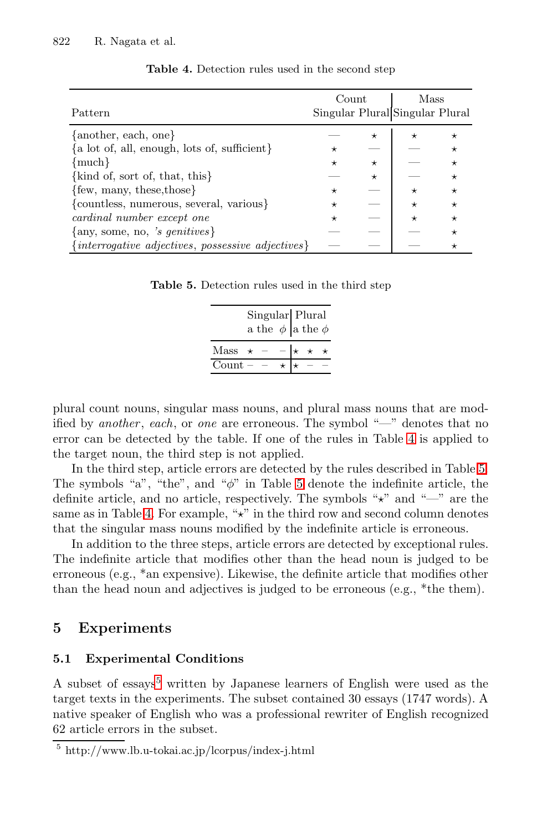| Pattern                                                  | Count      |            | Mass<br>Singular Plural Singular Plural |          |
|----------------------------------------------------------|------------|------------|-----------------------------------------|----------|
| $\{\text{another}, \text{each}, \text{one}\}$            |            | $\star$    | $^\star$                                | $^\star$ |
| $\{a \text{ lot of, all, enough, lots of, sufficient}\}$ | $^\star$   |            |                                         | $^\star$ |
| ${much}$                                                 | $^{\star}$ | $^{\star}$ |                                         |          |
| $\{$ kind of, sort of, that, this $\}$                   |            | $^{\star}$ |                                         | $^\star$ |
| {few, many, these, those}                                | $^\star$   |            | $\star$                                 | $^\star$ |
| {countless, numerous, several, various}                  | $^\star$   |            | $\star$                                 | $^\star$ |
| cardinal number except one                               | $\star$    |            | $\star$                                 | $^\star$ |
| $\{any, some, no, 's\ genitives\}$                       |            |            |                                         | $^\star$ |
| $\{interrogative\ adjectives,\ possessive\ adjectives\}$ |            |            |                                         |          |

<span id="page-7-1"></span>**Table 4.** Detection rules used in the second step

<span id="page-7-2"></span>**Table 5.** Detection rules used in the third step

|              | Singular Plural<br>a the $\,\phi$ $\,$ a the $\phi$ |  |  |
|--------------|-----------------------------------------------------|--|--|
| Mass $\star$ |                                                     |  |  |
| $Count -$    |                                                     |  |  |

plural count nouns, singular mass nouns, and plural mass nouns that are modified by another, each, or one are erroneous. The symbol "—" denotes that no error can be detected by the table. If one of the rules in Table [4](#page-7-1) is applied to the target noun, the third step is not applied.

In the third step, article errors are detected by the rules described in Table [5.](#page-7-2) The symbols "a", "the", and " $\phi$ " in Table [5](#page-7-2) denote the indefinite article, the definite article, and no article, respectively. The symbols " $\star$ " and "-" are the same as in Table [4.](#page-7-1) For example, " $\star$ " in the third row and second column denotes that the singular mass nouns modified by the indefinite article is erroneous.

In addition to the three steps, article errors are detected by exceptional rules. The indefinite article that modifies other than the head noun is judged to be erroneous (e.g., \*an expensive). Likewise, the definite article that modifies other than the head noun and adjectives is judged to be erroneous (e.g., \*the them).

# <span id="page-7-0"></span>**5 Experiments**

#### **5.1 Experimental Conditions**

A subset of essays<sup>[5](#page-7-3)</sup> written by Japanese learners of English were used as the target texts in the experiments. The subset contained 30 essays (1747 words). A native speaker of English who was a professional rewriter of English recognized 62 article errors in the subset.

<span id="page-7-3"></span><sup>5</sup> http://www.lb.u-tokai.ac.jp/lcorpus/index-j.html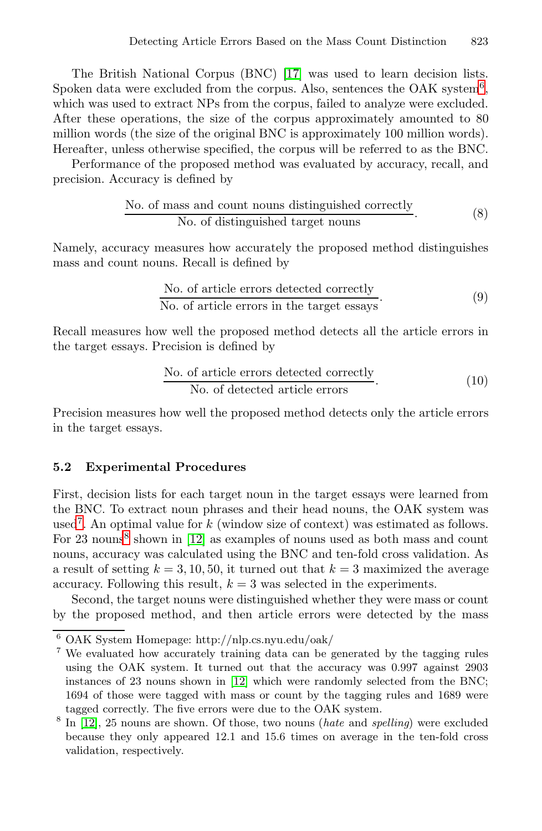The British National Corpus (BNC) [\[17\]](#page-11-12) was used to learn decision lists. Spoken data were excluded from the corpus. Also, sentences the OAK system<sup>[6](#page-8-0)</sup>, which was used to extract NPs from the corpus, failed to analyze were excluded. After these operations, the size of the corpus approximately amounted to 80 million words (the size of the original BNC is approximately 100 million words). Hereafter, unless otherwise specified, the corpus will be referred to as the BNC.

Performance of the proposed method was evaluated by accuracy, recall, and precision. Accuracy is defined by

No. of mass and count nouns distinguished correctly  
No. of distinguished target nouns\n
$$
(8)
$$

Namely, accuracy measures how accurately the proposed method distinguishes mass and count nouns. Recall is defined by

No. of article errors detected correctly  
No. of article errors in the target essays. 
$$
(9)
$$

Recall measures how well the proposed method detects all the article errors in the target essays. Precision is defined by

No. of article errors detected correctly  
No. of detected article errors 
$$
\tag{10}
$$

Precision measures how well the proposed method detects only the article errors in the target essays.

#### **5.2 Experimental Procedures**

First, decision lists for each target noun in the target essays were learned from the BNC. To extract noun phrases and their head nouns, the OAK system was used<sup>[7](#page-8-1)</sup>. An optimal value for k (window size of context) was estimated as follows. For  $23$  nouns<sup>[8](#page-8-2)</sup> shown in  $[12]$  as examples of nouns used as both mass and count nouns, accuracy was calculated using the BNC and ten-fold cross validation. As a result of setting  $k = 3, 10, 50$ , it turned out that  $k = 3$  maximized the average accuracy. Following this result,  $k = 3$  was selected in the experiments.

Second, the target nouns were distinguished whether they were mass or count by the proposed method, and then article errors were detected by the mass

<span id="page-8-0"></span> $^6$  OAK System Homepage: http://nlp.cs.nyu.edu/oak/  $\,$ 

<span id="page-8-1"></span><sup>7</sup> We evaluated how accurately training data can be generated by the tagging rules using the OAK system. It turned out that the accuracy was 0.997 against 2903 instances of 23 nouns shown in [\[12\]](#page-11-7) which were randomly selected from the BNC; 1694 of those were tagged with mass or count by the tagging rules and 1689 were tagged correctly. The five errors were due to the OAK system.

<span id="page-8-2"></span> $8$  In [\[12\]](#page-11-7), 25 nouns are shown. Of those, two nouns (hate and spelling) were excluded because they only appeared 12.1 and 15.6 times on average in the ten-fold cross validation, respectively.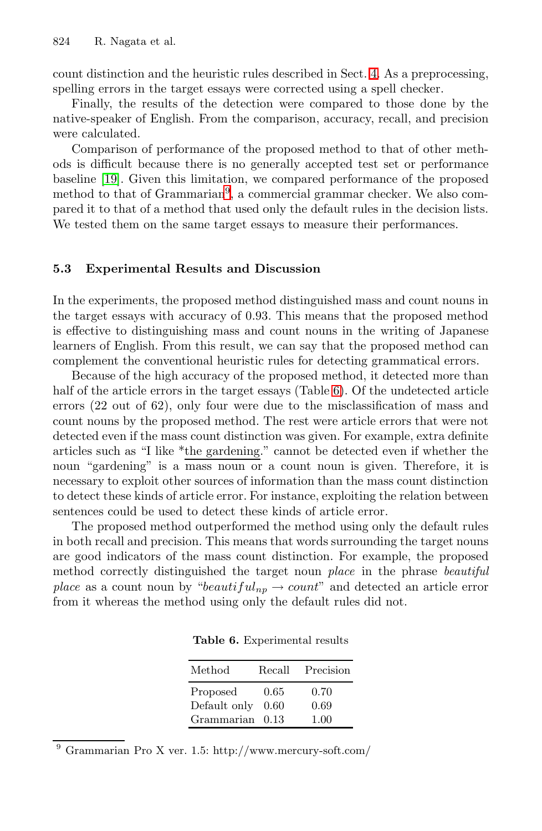count distinction and the heuristic rules described in Sect. [4.](#page-6-0) As a preprocessing, spelling errors in the target essays were corrected using a spell checker.

Finally, the results of the detection were compared to those done by the native-speaker of English. From the comparison, accuracy, recall, and precision were calculated.

Comparison of performance of the proposed method to that of other methods is difficult because there is no generally accepted test set or performance baseline [\[19\]](#page-11-14). Given this limitation, we compared performance of the proposed method to that of Grammarian<sup>[9](#page-9-0)</sup>, a commercial grammar checker. We also compared it to that of a method that used only the default rules in the decision lists. We tested them on the same target essays to measure their performances.

#### **5.3 Experimental Results and Discussion**

In the experiments, the proposed method distinguished mass and count nouns in the target essays with accuracy of 0.93. This means that the proposed method is effective to distinguishing mass and count nouns in the writing of Japanese learners of English. From this result, we can say that the proposed method can complement the conventional heuristic rules for detecting grammatical errors.

Because of the high accuracy of the proposed method, it detected more than half of the article errors in the target essays (Table [6\)](#page-9-1). Of the undetected article errors (22 out of 62), only four were due to the misclassification of mass and count nouns by the proposed method. The rest were article errors that were not detected even if the mass count distinction was given. For example, extra definite articles such as "I like \*the gardening." cannot be detected even if whether the noun "gardening" is a mass noun or a count noun is given. Therefore, it is necessary to exploit other sources of information than the mass count distinction to detect these kinds of article error. For instance, exploiting the relation between sentences could be used to detect these kinds of article error.

The proposed method outperformed the method using only the default rules in both recall and precision. This means that words surrounding the target nouns are good indicators of the mass count distinction. For example, the proposed method correctly distinguished the target noun place in the phrase beautiful place as a count noun by "beautiful<sub>np</sub>  $\rightarrow$  count" and detected an article error from it whereas the method using only the default rules did not.

<span id="page-9-1"></span>

| Method                   | Recall       | Precision    |
|--------------------------|--------------|--------------|
| Proposed<br>Default only | 0.65<br>0.60 | 0.70<br>0.69 |
| Grammarian               | 0.13         | 1.00         |

**Table 6.** Experimental results

<span id="page-9-0"></span><sup>9</sup> Grammarian Pro X ver. 1.5: http://www.mercury-soft.com/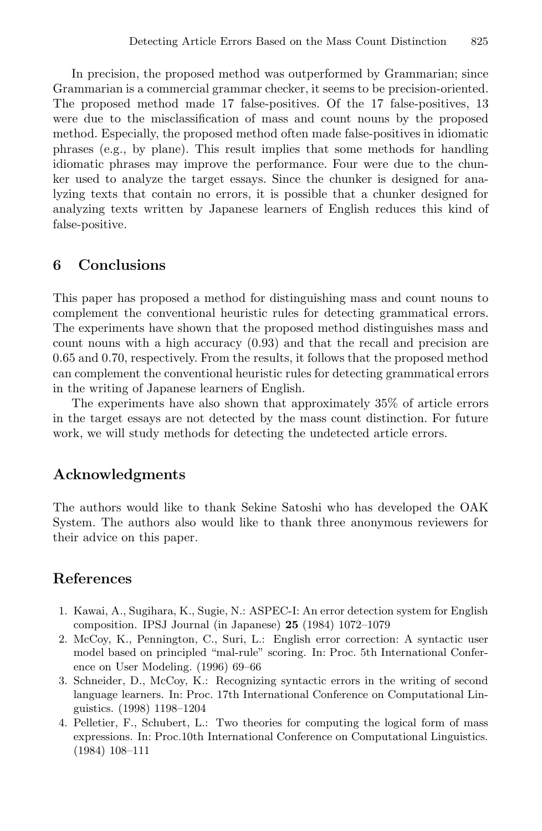In precision, the proposed method was outperformed by Grammarian; since Grammarian is a commercial grammar checker, it seems to be precision-oriented. The proposed method made 17 false-positives. Of the 17 false-positives, 13 were due to the misclassification of mass and count nouns by the proposed method. Especially, the proposed method often made false-positives in idiomatic phrases (e.g., by plane). This result implies that some methods for handling idiomatic phrases may improve the performance. Four were due to the chunker used to analyze the target essays. Since the chunker is designed for analyzing texts that contain no errors, it is possible that a chunker designed for analyzing texts written by Japanese learners of English reduces this kind of false-positive.

### **6 Conclusions**

This paper has proposed a method for distinguishing mass and count nouns to complement the conventional heuristic rules for detecting grammatical errors. The experiments have shown that the proposed method distinguishes mass and count nouns with a high accuracy (0.93) and that the recall and precision are 0.65 and 0.70, respectively. From the results, it follows that the proposed method can complement the conventional heuristic rules for detecting grammatical errors in the writing of Japanese learners of English.

The experiments have also shown that approximately 35% of article errors in the target essays are not detected by the mass count distinction. For future work, we will study methods for detecting the undetected article errors.

## **Acknowledgments**

The authors would like to thank Sekine Satoshi who has developed the OAK System. The authors also would like to thank three anonymous reviewers for their advice on this paper.

## <span id="page-10-4"></span><span id="page-10-0"></span>**References**

- 1. Kawai, A., Sugihara, K., Sugie, N.: ASPEC-I: An error detection system for English composition. IPSJ Journal (in Japanese) **25** (1984) 1072–1079
- <span id="page-10-1"></span>2. McCoy, K., Pennington, C., Suri, L.: English error correction: A syntactic user model based on principled "mal-rule" scoring. In: Proc. 5th International Conference on User Modeling. (1996) 69–66
- <span id="page-10-2"></span>3. Schneider, D., McCoy, K.: Recognizing syntactic errors in the writing of second language learners. In: Proc. 17th International Conference on Computational Linguistics. (1998) 1198–1204
- <span id="page-10-3"></span>4. Pelletier, F., Schubert, L.: Two theories for computing the logical form of mass expressions. In: Proc.10th International Conference on Computational Linguistics. (1984) 108–111